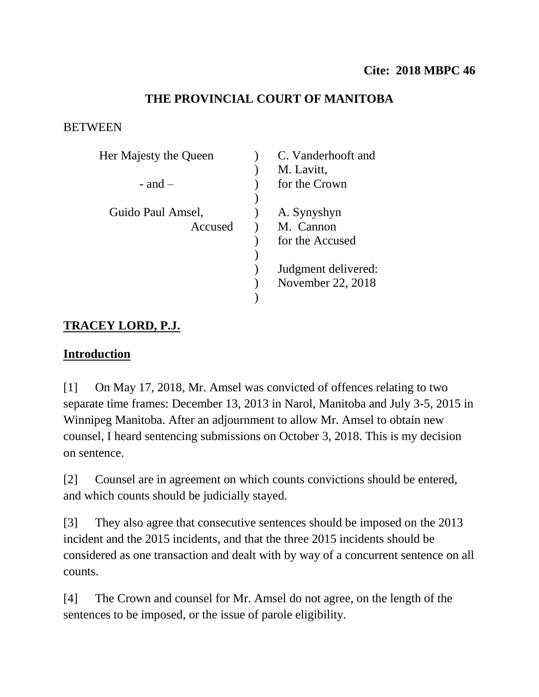## **THE PROVINCIAL COURT OF MANITOBA**

#### **BETWEEN**

| Her Majesty the Queen | C. Vanderhooft and  |
|-----------------------|---------------------|
|                       | M. Lavitt,          |
| $-$ and $-$           | for the Crown       |
|                       |                     |
| Guido Paul Amsel,     | A. Synyshyn         |
| Accused               | M. Cannon           |
|                       | for the Accused     |
|                       |                     |
|                       | Judgment delivered: |
|                       | November 22, 2018   |
|                       |                     |

# **TRACEY LORD, P.J.**

### **Introduction**

[1] On May 17, 2018, Mr. Amsel was convicted of offences relating to two separate time frames: December 13, 2013 in Narol, Manitoba and July 3-5, 2015 in Winnipeg Manitoba. After an adjournment to allow Mr. Amsel to obtain new counsel, I heard sentencing submissions on October 3, 2018. This is my decision on sentence.

[2] Counsel are in agreement on which counts convictions should be entered, and which counts should be judicially stayed.

[3] They also agree that consecutive sentences should be imposed on the 2013 incident and the 2015 incidents, and that the three 2015 incidents should be considered as one transaction and dealt with by way of a concurrent sentence on all counts.

[4] The Crown and counsel for Mr. Amsel do not agree, on the length of the sentences to be imposed, or the issue of parole eligibility.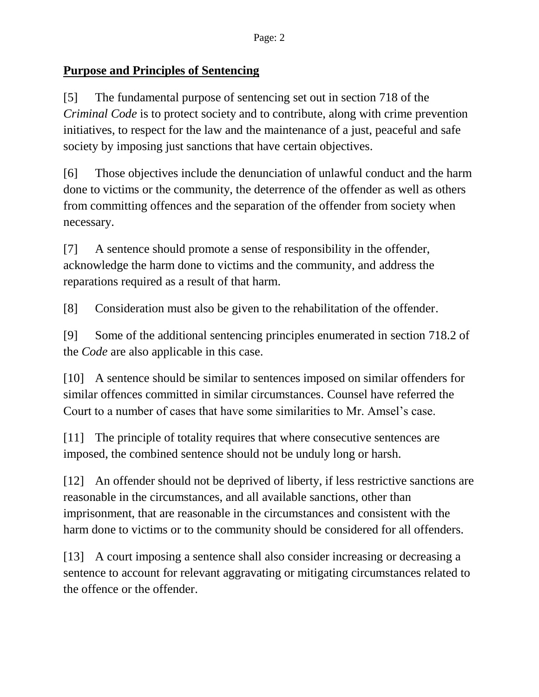#### **Purpose and Principles of Sentencing**

[5] The fundamental purpose of sentencing set out in section 718 of the *Criminal Code* is to protect society and to contribute, along with crime prevention initiatives, to respect for the law and the maintenance of a just, peaceful and safe society by imposing just sanctions that have certain objectives.

[6] Those objectives include the denunciation of unlawful conduct and the harm done to victims or the community, the deterrence of the offender as well as others from committing offences and the separation of the offender from society when necessary.

[7] A sentence should promote a sense of responsibility in the offender, acknowledge the harm done to victims and the community, and address the reparations required as a result of that harm.

[8] Consideration must also be given to the rehabilitation of the offender.

[9] Some of the additional sentencing principles enumerated in section 718.2 of the *Code* are also applicable in this case.

[10] A sentence should be similar to sentences imposed on similar offenders for similar offences committed in similar circumstances. Counsel have referred the Court to a number of cases that have some similarities to Mr. Amsel's case.

[11] The principle of totality requires that where consecutive sentences are imposed, the combined sentence should not be unduly long or harsh.

[12] An offender should not be deprived of liberty, if less restrictive sanctions are reasonable in the circumstances, and all available sanctions, other than imprisonment, that are reasonable in the circumstances and consistent with the harm done to victims or to the community should be considered for all offenders.

[13] A court imposing a sentence shall also consider increasing or decreasing a sentence to account for relevant aggravating or mitigating circumstances related to the offence or the offender.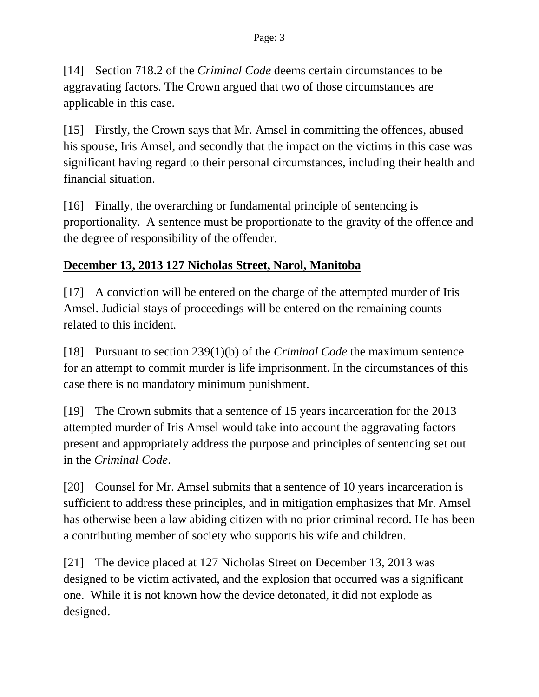[14] Section 718.2 of the *Criminal Code* deems certain circumstances to be aggravating factors. The Crown argued that two of those circumstances are applicable in this case.

[15] Firstly, the Crown says that Mr. Amsel in committing the offences, abused his spouse, Iris Amsel, and secondly that the impact on the victims in this case was significant having regard to their personal circumstances, including their health and financial situation.

[16] Finally, the overarching or fundamental principle of sentencing is proportionality. A sentence must be proportionate to the gravity of the offence and the degree of responsibility of the offender.

# **December 13, 2013 127 Nicholas Street, Narol, Manitoba**

[17] A conviction will be entered on the charge of the attempted murder of Iris Amsel. Judicial stays of proceedings will be entered on the remaining counts related to this incident.

[18] Pursuant to section 239(1)(b) of the *Criminal Code* the maximum sentence for an attempt to commit murder is life imprisonment. In the circumstances of this case there is no mandatory minimum punishment.

[19] The Crown submits that a sentence of 15 years incarceration for the 2013 attempted murder of Iris Amsel would take into account the aggravating factors present and appropriately address the purpose and principles of sentencing set out in the *Criminal Code*.

[20] Counsel for Mr. Amsel submits that a sentence of 10 years incarceration is sufficient to address these principles, and in mitigation emphasizes that Mr. Amsel has otherwise been a law abiding citizen with no prior criminal record. He has been a contributing member of society who supports his wife and children.

[21] The device placed at 127 Nicholas Street on December 13, 2013 was designed to be victim activated, and the explosion that occurred was a significant one. While it is not known how the device detonated, it did not explode as designed.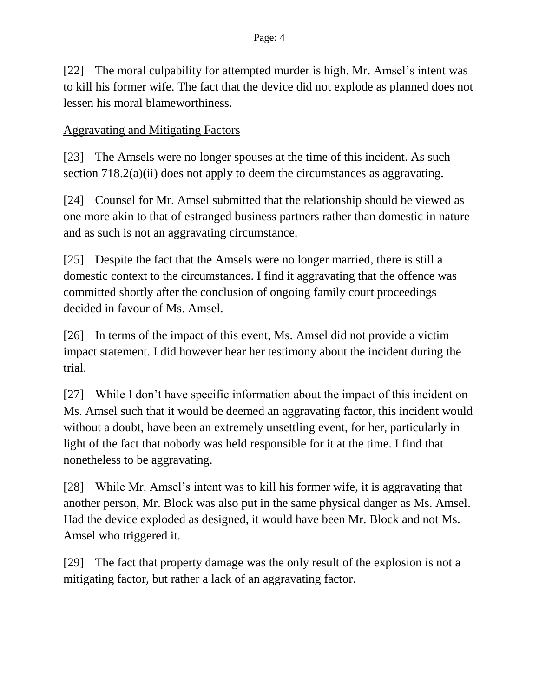[22] The moral culpability for attempted murder is high. Mr. Amsel's intent was to kill his former wife. The fact that the device did not explode as planned does not lessen his moral blameworthiness.

### Aggravating and Mitigating Factors

[23] The Amsels were no longer spouses at the time of this incident. As such section 718.2(a)(ii) does not apply to deem the circumstances as aggravating.

[24] Counsel for Mr. Amsel submitted that the relationship should be viewed as one more akin to that of estranged business partners rather than domestic in nature and as such is not an aggravating circumstance.

[25] Despite the fact that the Amsels were no longer married, there is still a domestic context to the circumstances. I find it aggravating that the offence was committed shortly after the conclusion of ongoing family court proceedings decided in favour of Ms. Amsel.

[26] In terms of the impact of this event, Ms. Amsel did not provide a victim impact statement. I did however hear her testimony about the incident during the trial.

[27] While I don't have specific information about the impact of this incident on Ms. Amsel such that it would be deemed an aggravating factor, this incident would without a doubt, have been an extremely unsettling event, for her, particularly in light of the fact that nobody was held responsible for it at the time. I find that nonetheless to be aggravating.

[28] While Mr. Amsel's intent was to kill his former wife, it is aggravating that another person, Mr. Block was also put in the same physical danger as Ms. Amsel. Had the device exploded as designed, it would have been Mr. Block and not Ms. Amsel who triggered it.

[29] The fact that property damage was the only result of the explosion is not a mitigating factor, but rather a lack of an aggravating factor.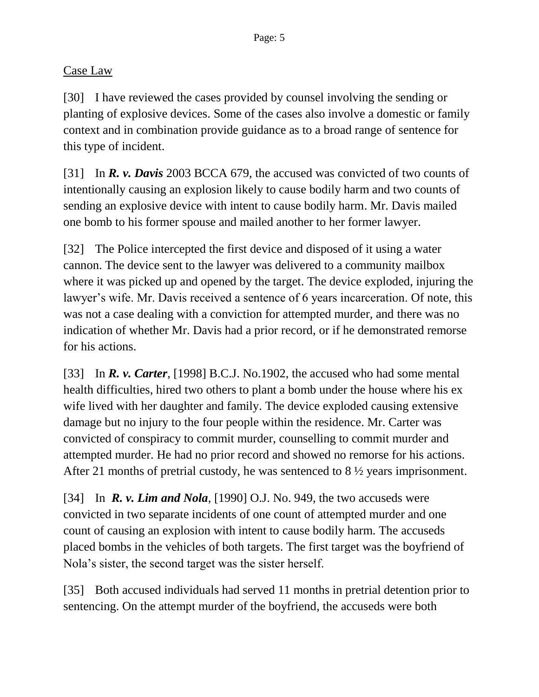## Case Law

[30] I have reviewed the cases provided by counsel involving the sending or planting of explosive devices. Some of the cases also involve a domestic or family context and in combination provide guidance as to a broad range of sentence for this type of incident.

[31] In *R. v. Davis* 2003 BCCA 679, the accused was convicted of two counts of intentionally causing an explosion likely to cause bodily harm and two counts of sending an explosive device with intent to cause bodily harm. Mr. Davis mailed one bomb to his former spouse and mailed another to her former lawyer.

[32] The Police intercepted the first device and disposed of it using a water cannon. The device sent to the lawyer was delivered to a community mailbox where it was picked up and opened by the target. The device exploded, injuring the lawyer's wife. Mr. Davis received a sentence of 6 years incarceration. Of note, this was not a case dealing with a conviction for attempted murder, and there was no indication of whether Mr. Davis had a prior record, or if he demonstrated remorse for his actions.

[33] In *R. v. Carter*, [1998] B.C.J. No.1902, the accused who had some mental health difficulties, hired two others to plant a bomb under the house where his ex wife lived with her daughter and family. The device exploded causing extensive damage but no injury to the four people within the residence. Mr. Carter was convicted of conspiracy to commit murder, counselling to commit murder and attempted murder. He had no prior record and showed no remorse for his actions. After 21 months of pretrial custody, he was sentenced to 8 ½ years imprisonment.

[34] In *R. v. Lim and Nola*, [1990] O.J. No. 949, the two accuseds were convicted in two separate incidents of one count of attempted murder and one count of causing an explosion with intent to cause bodily harm. The accuseds placed bombs in the vehicles of both targets. The first target was the boyfriend of Nola's sister, the second target was the sister herself.

[35] Both accused individuals had served 11 months in pretrial detention prior to sentencing. On the attempt murder of the boyfriend, the accuseds were both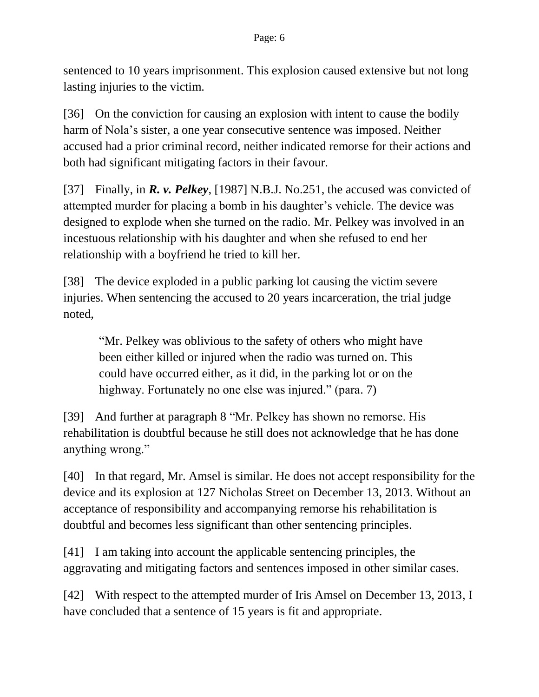sentenced to 10 years imprisonment. This explosion caused extensive but not long lasting injuries to the victim.

[36] On the conviction for causing an explosion with intent to cause the bodily harm of Nola's sister, a one year consecutive sentence was imposed. Neither accused had a prior criminal record, neither indicated remorse for their actions and both had significant mitigating factors in their favour.

[37] Finally, in *R. v. Pelkey*, [1987] N.B.J. No.251, the accused was convicted of attempted murder for placing a bomb in his daughter's vehicle. The device was designed to explode when she turned on the radio. Mr. Pelkey was involved in an incestuous relationship with his daughter and when she refused to end her relationship with a boyfriend he tried to kill her.

[38] The device exploded in a public parking lot causing the victim severe injuries. When sentencing the accused to 20 years incarceration, the trial judge noted,

"Mr. Pelkey was oblivious to the safety of others who might have been either killed or injured when the radio was turned on. This could have occurred either, as it did, in the parking lot or on the highway. Fortunately no one else was injured." (para. 7)

[39] And further at paragraph 8 "Mr. Pelkey has shown no remorse. His rehabilitation is doubtful because he still does not acknowledge that he has done anything wrong."

[40] In that regard, Mr. Amsel is similar. He does not accept responsibility for the device and its explosion at 127 Nicholas Street on December 13, 2013. Without an acceptance of responsibility and accompanying remorse his rehabilitation is doubtful and becomes less significant than other sentencing principles.

[41] I am taking into account the applicable sentencing principles, the aggravating and mitigating factors and sentences imposed in other similar cases.

[42] With respect to the attempted murder of Iris Amsel on December 13, 2013, I have concluded that a sentence of 15 years is fit and appropriate.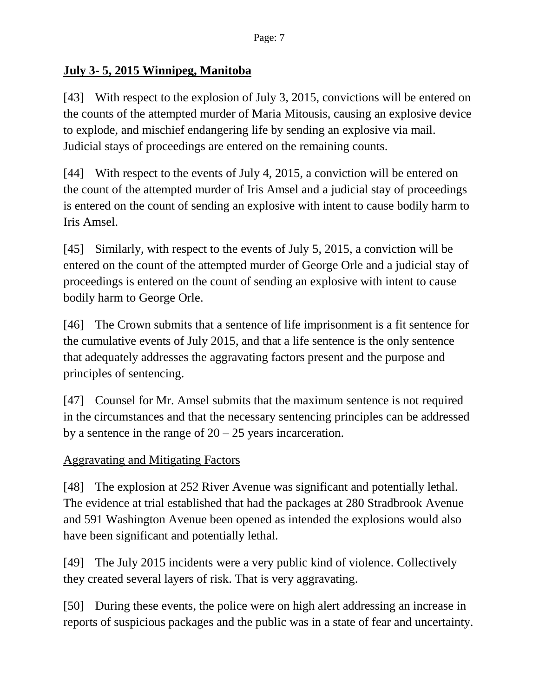### **July 3- 5, 2015 Winnipeg, Manitoba**

[43] With respect to the explosion of July 3, 2015, convictions will be entered on the counts of the attempted murder of Maria Mitousis, causing an explosive device to explode, and mischief endangering life by sending an explosive via mail. Judicial stays of proceedings are entered on the remaining counts.

[44] With respect to the events of July 4, 2015, a conviction will be entered on the count of the attempted murder of Iris Amsel and a judicial stay of proceedings is entered on the count of sending an explosive with intent to cause bodily harm to Iris Amsel.

[45] Similarly, with respect to the events of July 5, 2015, a conviction will be entered on the count of the attempted murder of George Orle and a judicial stay of proceedings is entered on the count of sending an explosive with intent to cause bodily harm to George Orle.

[46] The Crown submits that a sentence of life imprisonment is a fit sentence for the cumulative events of July 2015, and that a life sentence is the only sentence that adequately addresses the aggravating factors present and the purpose and principles of sentencing.

[47] Counsel for Mr. Amsel submits that the maximum sentence is not required in the circumstances and that the necessary sentencing principles can be addressed by a sentence in the range of  $20 - 25$  years incarceration.

Aggravating and Mitigating Factors

[48] The explosion at 252 River Avenue was significant and potentially lethal. The evidence at trial established that had the packages at 280 Stradbrook Avenue and 591 Washington Avenue been opened as intended the explosions would also have been significant and potentially lethal.

[49] The July 2015 incidents were a very public kind of violence. Collectively they created several layers of risk. That is very aggravating.

[50] During these events, the police were on high alert addressing an increase in reports of suspicious packages and the public was in a state of fear and uncertainty.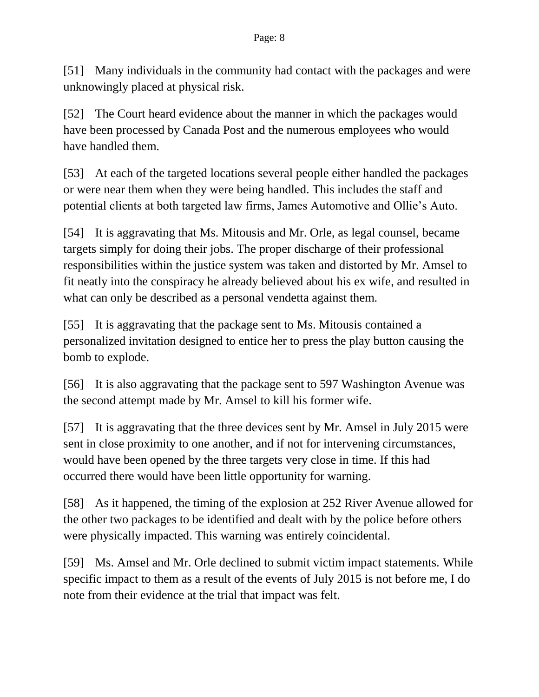[51] Many individuals in the community had contact with the packages and were unknowingly placed at physical risk.

[52] The Court heard evidence about the manner in which the packages would have been processed by Canada Post and the numerous employees who would have handled them.

[53] At each of the targeted locations several people either handled the packages or were near them when they were being handled. This includes the staff and potential clients at both targeted law firms, James Automotive and Ollie's Auto.

[54] It is aggravating that Ms. Mitousis and Mr. Orle, as legal counsel, became targets simply for doing their jobs. The proper discharge of their professional responsibilities within the justice system was taken and distorted by Mr. Amsel to fit neatly into the conspiracy he already believed about his ex wife, and resulted in what can only be described as a personal vendetta against them.

[55] It is aggravating that the package sent to Ms. Mitousis contained a personalized invitation designed to entice her to press the play button causing the bomb to explode.

[56] It is also aggravating that the package sent to 597 Washington Avenue was the second attempt made by Mr. Amsel to kill his former wife.

[57] It is aggravating that the three devices sent by Mr. Amsel in July 2015 were sent in close proximity to one another, and if not for intervening circumstances, would have been opened by the three targets very close in time. If this had occurred there would have been little opportunity for warning.

[58] As it happened, the timing of the explosion at 252 River Avenue allowed for the other two packages to be identified and dealt with by the police before others were physically impacted. This warning was entirely coincidental.

[59] Ms. Amsel and Mr. Orle declined to submit victim impact statements. While specific impact to them as a result of the events of July 2015 is not before me, I do note from their evidence at the trial that impact was felt.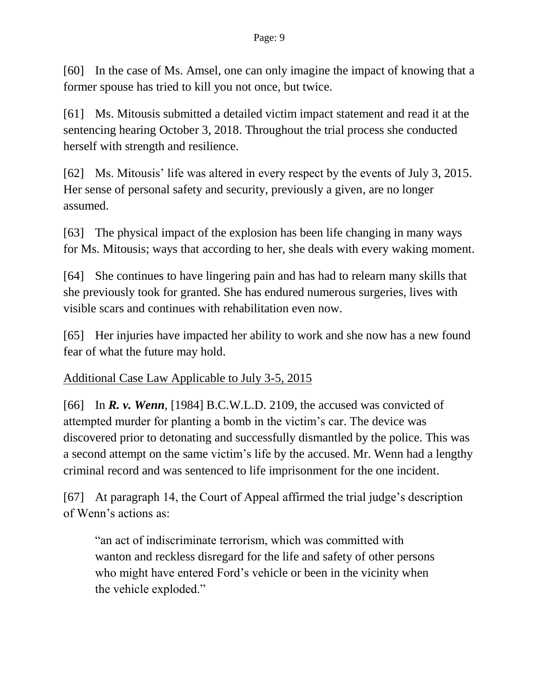[60] In the case of Ms. Amsel, one can only imagine the impact of knowing that a former spouse has tried to kill you not once, but twice.

[61] Ms. Mitousis submitted a detailed victim impact statement and read it at the sentencing hearing October 3, 2018. Throughout the trial process she conducted herself with strength and resilience.

[62] Ms. Mitousis' life was altered in every respect by the events of July 3, 2015. Her sense of personal safety and security, previously a given, are no longer assumed.

[63] The physical impact of the explosion has been life changing in many ways for Ms. Mitousis; ways that according to her, she deals with every waking moment.

[64] She continues to have lingering pain and has had to relearn many skills that she previously took for granted. She has endured numerous surgeries, lives with visible scars and continues with rehabilitation even now.

[65] Her injuries have impacted her ability to work and she now has a new found fear of what the future may hold.

Additional Case Law Applicable to July 3-5, 2015

[66] In *R. v. Wenn*, [1984] B.C.W.L.D. 2109, the accused was convicted of attempted murder for planting a bomb in the victim's car. The device was discovered prior to detonating and successfully dismantled by the police. This was a second attempt on the same victim's life by the accused. Mr. Wenn had a lengthy criminal record and was sentenced to life imprisonment for the one incident.

[67] At paragraph 14, the Court of Appeal affirmed the trial judge's description of Wenn's actions as:

"an act of indiscriminate terrorism, which was committed with wanton and reckless disregard for the life and safety of other persons who might have entered Ford's vehicle or been in the vicinity when the vehicle exploded."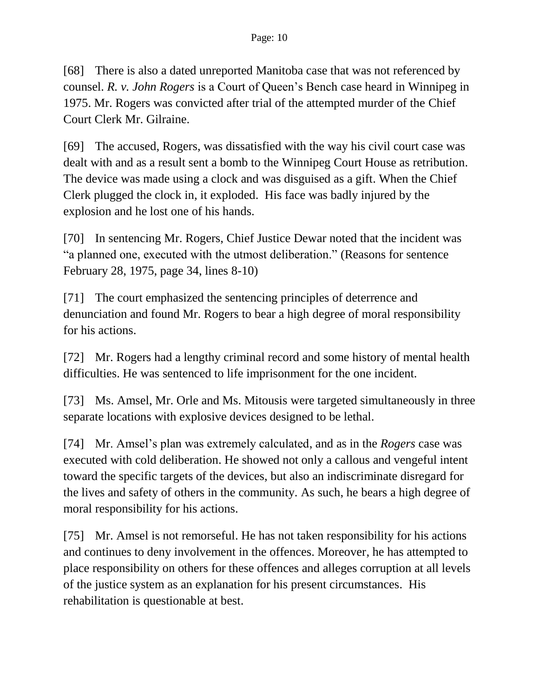[68] There is also a dated unreported Manitoba case that was not referenced by counsel. *R. v. John Rogers* is a Court of Queen's Bench case heard in Winnipeg in 1975. Mr. Rogers was convicted after trial of the attempted murder of the Chief Court Clerk Mr. Gilraine.

[69] The accused, Rogers, was dissatisfied with the way his civil court case was dealt with and as a result sent a bomb to the Winnipeg Court House as retribution. The device was made using a clock and was disguised as a gift. When the Chief Clerk plugged the clock in, it exploded. His face was badly injured by the explosion and he lost one of his hands.

[70] In sentencing Mr. Rogers, Chief Justice Dewar noted that the incident was "a planned one, executed with the utmost deliberation." (Reasons for sentence February 28, 1975, page 34, lines 8-10)

[71] The court emphasized the sentencing principles of deterrence and denunciation and found Mr. Rogers to bear a high degree of moral responsibility for his actions.

[72] Mr. Rogers had a lengthy criminal record and some history of mental health difficulties. He was sentenced to life imprisonment for the one incident.

[73] Ms. Amsel, Mr. Orle and Ms. Mitousis were targeted simultaneously in three separate locations with explosive devices designed to be lethal.

[74] Mr. Amsel's plan was extremely calculated, and as in the *Rogers* case was executed with cold deliberation. He showed not only a callous and vengeful intent toward the specific targets of the devices, but also an indiscriminate disregard for the lives and safety of others in the community. As such, he bears a high degree of moral responsibility for his actions.

[75] Mr. Amsel is not remorseful. He has not taken responsibility for his actions and continues to deny involvement in the offences. Moreover, he has attempted to place responsibility on others for these offences and alleges corruption at all levels of the justice system as an explanation for his present circumstances. His rehabilitation is questionable at best.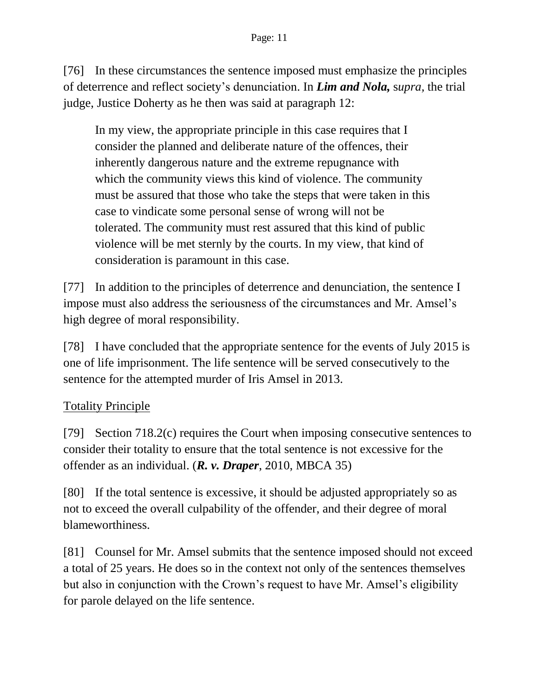[76] In these circumstances the sentence imposed must emphasize the principles of deterrence and reflect society's denunciation. In *Lim and Nola,* s*upra,* the trial judge, Justice Doherty as he then was said at paragraph 12:

In my view, the appropriate principle in this case requires that I consider the planned and deliberate nature of the offences, their inherently dangerous nature and the extreme repugnance with which the community views this kind of violence. The community must be assured that those who take the steps that were taken in this case to vindicate some personal sense of wrong will not be tolerated. The community must rest assured that this kind of public violence will be met sternly by the courts. In my view, that kind of consideration is paramount in this case.

[77] In addition to the principles of deterrence and denunciation, the sentence I impose must also address the seriousness of the circumstances and Mr. Amsel's high degree of moral responsibility.

[78] I have concluded that the appropriate sentence for the events of July 2015 is one of life imprisonment. The life sentence will be served consecutively to the sentence for the attempted murder of Iris Amsel in 2013.

### Totality Principle

[79] Section 718.2(c) requires the Court when imposing consecutive sentences to consider their totality to ensure that the total sentence is not excessive for the offender as an individual. (*R. v. Draper*, 2010, MBCA 35)

[80] If the total sentence is excessive, it should be adjusted appropriately so as not to exceed the overall culpability of the offender, and their degree of moral blameworthiness.

[81] Counsel for Mr. Amsel submits that the sentence imposed should not exceed a total of 25 years. He does so in the context not only of the sentences themselves but also in conjunction with the Crown's request to have Mr. Amsel's eligibility for parole delayed on the life sentence.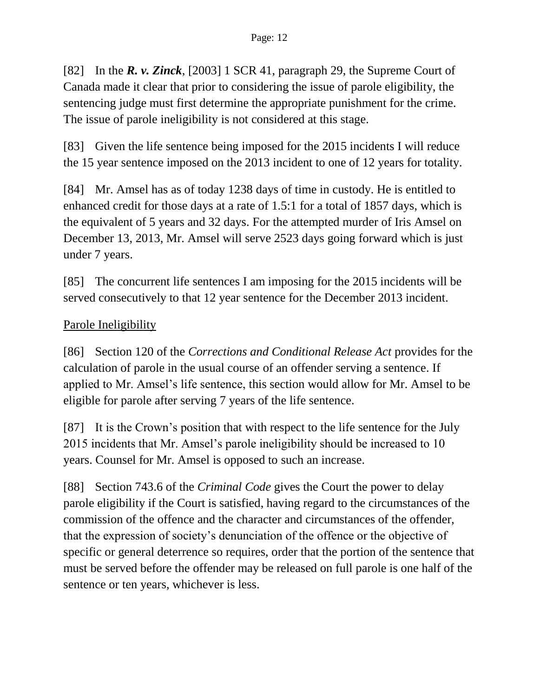[82] In the *R. v. Zinck*, [2003] 1 SCR 41, paragraph 29, the Supreme Court of Canada made it clear that prior to considering the issue of parole eligibility, the sentencing judge must first determine the appropriate punishment for the crime. The issue of parole ineligibility is not considered at this stage.

[83] Given the life sentence being imposed for the 2015 incidents I will reduce the 15 year sentence imposed on the 2013 incident to one of 12 years for totality.

[84] Mr. Amsel has as of today 1238 days of time in custody. He is entitled to enhanced credit for those days at a rate of 1.5:1 for a total of 1857 days, which is the equivalent of 5 years and 32 days. For the attempted murder of Iris Amsel on December 13, 2013, Mr. Amsel will serve 2523 days going forward which is just under 7 years.

[85] The concurrent life sentences I am imposing for the 2015 incidents will be served consecutively to that 12 year sentence for the December 2013 incident.

# Parole Ineligibility

[86] Section 120 of the *Corrections and Conditional Release Act* provides for the calculation of parole in the usual course of an offender serving a sentence. If applied to Mr. Amsel's life sentence, this section would allow for Mr. Amsel to be eligible for parole after serving 7 years of the life sentence.

[87] It is the Crown's position that with respect to the life sentence for the July 2015 incidents that Mr. Amsel's parole ineligibility should be increased to 10 years. Counsel for Mr. Amsel is opposed to such an increase.

[88] Section 743.6 of the *Criminal Code* gives the Court the power to delay parole eligibility if the Court is satisfied, having regard to the circumstances of the commission of the offence and the character and circumstances of the offender, that the expression of society's denunciation of the offence or the objective of specific or general deterrence so requires, order that the portion of the sentence that must be served before the offender may be released on full parole is one half of the sentence or ten years, whichever is less.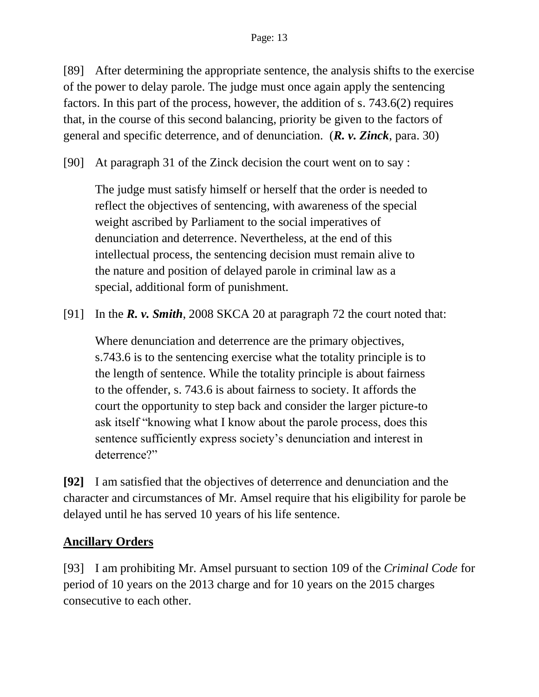[89] After determining the appropriate sentence, the analysis shifts to the exercise of the power to delay parole. The judge must once again apply the sentencing factors. In this part of the process, however, the addition of s. 743.6(2) requires that, in the course of this second balancing, priority be given to the factors of general and specific deterrence, and of denunciation. (*R. v. Zinck*, para. 30)

[90] At paragraph 31 of the Zinck decision the court went on to say :

The judge must satisfy himself or herself that the order is needed to reflect the objectives of sentencing, with awareness of the special weight ascribed by Parliament to the social imperatives of denunciation and deterrence. Nevertheless, at the end of this intellectual process, the sentencing decision must remain alive to the nature and position of delayed parole in criminal law as a special, additional form of punishment.

[91] In the *R. v. Smith*, 2008 SKCA 20 at paragraph 72 the court noted that:

Where denunciation and deterrence are the primary objectives, s.743.6 is to the sentencing exercise what the totality principle is to the length of sentence. While the totality principle is about fairness to the offender, s. 743.6 is about fairness to society. It affords the court the opportunity to step back and consider the larger picture-to ask itself "knowing what I know about the parole process, does this sentence sufficiently express society's denunciation and interest in deterrence?"

**[92]** I am satisfied that the objectives of deterrence and denunciation and the character and circumstances of Mr. Amsel require that his eligibility for parole be delayed until he has served 10 years of his life sentence.

# **Ancillary Orders**

[93] I am prohibiting Mr. Amsel pursuant to section 109 of the *Criminal Code* for period of 10 years on the 2013 charge and for 10 years on the 2015 charges consecutive to each other.